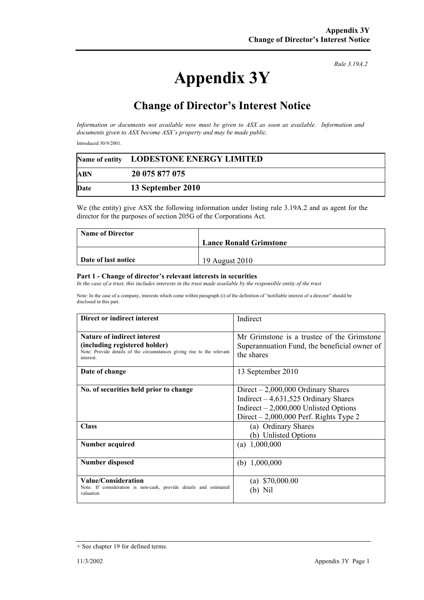## **Appendix 3Y**

*Rule 3.19A.2*

## **Change of Director's Interest Notice**

*Information or documents not available now must be given to ASX as soon as available. Information and documents given to ASX become ASX's property and may be made public.* 

Introduced 30/9/2001.

|            | Name of entity LODESTONE ENERGY LIMITED |
|------------|-----------------------------------------|
| <b>ABN</b> | 20 075 877 075                          |
| Date       | 13 September 2010                       |

We (the entity) give ASX the following information under listing rule 3.19A.2 and as agent for the director for the purposes of section 205G of the Corporations Act.

| <b>Name of Director</b> |                               |
|-------------------------|-------------------------------|
|                         | <b>Lance Ronald Grimstone</b> |
|                         |                               |
| Date of last notice     | 19 August 2010                |

## **Part 1 - Change of director's relevant interests in securities**

In the case of a trust, this includes interests in the trust made available by the responsible entity of the trust

Note: In the case of a company, interests which come within paragraph (i) of the definition of "notifiable interest of a director" should be disclosed in this part.

| Direct or indirect interest                                                                                                                                | Indirect                                                                                                                                                           |
|------------------------------------------------------------------------------------------------------------------------------------------------------------|--------------------------------------------------------------------------------------------------------------------------------------------------------------------|
| <b>Nature of indirect interest</b><br>(including registered holder)<br>Note: Provide details of the circumstances giving rise to the relevant<br>interest. | Mr Grimstone is a trustee of the Grimstone<br>Superannuation Fund, the beneficial owner of<br>the shares                                                           |
| Date of change                                                                                                                                             | 13 September 2010                                                                                                                                                  |
| No. of securities held prior to change                                                                                                                     | $Direct - 2,000,000$ Ordinary Shares<br>Indirect $-4,631,525$ Ordinary Shares<br>Indirect $-2,000,000$ Unlisted Options<br>Direct $-2,000,000$ Perf. Rights Type 2 |
| <b>Class</b>                                                                                                                                               | (a) Ordinary Shares<br>(b) Unlisted Options                                                                                                                        |
| Number acquired                                                                                                                                            | (a) $1,000,000$                                                                                                                                                    |
| <b>Number disposed</b>                                                                                                                                     | (b) $1,000,000$                                                                                                                                                    |
| Value/Consideration<br>Note: If consideration is non-cash, provide details and estimated<br>valuation                                                      | (a) $$70,000.00$                                                                                                                                                   |

<sup>+</sup> See chapter 19 for defined terms.